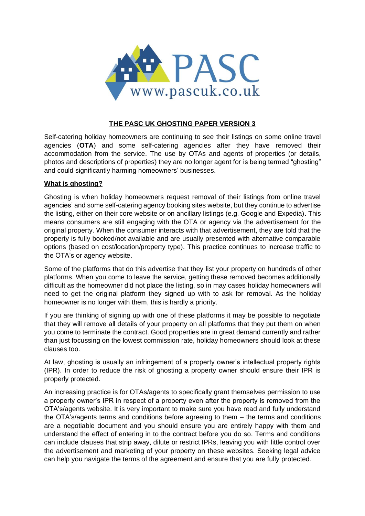

# **THE PASC UK GHOSTING PAPER VERSION 3**

Self-catering holiday homeowners are continuing to see their listings on some online travel agencies (**OTA**) and some self-catering agencies after they have removed their accommodation from the service. The use by OTAs and agents of properties (or details, photos and descriptions of properties) they are no longer agent for is being termed "ghosting" and could significantly harming homeowners' businesses.

### **What is ghosting?**

Ghosting is when holiday homeowners request removal of their listings from online travel agencies' and some self-catering agency booking sites website, but they continue to advertise the listing, either on their core website or on ancillary listings (e.g. Google and Expedia). This means consumers are still engaging with the OTA or agency via the advertisement for the original property. When the consumer interacts with that advertisement, they are told that the property is fully booked/not available and are usually presented with alternative comparable options (based on cost/location/property type). This practice continues to increase traffic to the OTA's or agency website.

Some of the platforms that do this advertise that they list your property on hundreds of other platforms. When you come to leave the service, getting these removed becomes additionally difficult as the homeowner did not place the listing, so in may cases holiday homeowners will need to get the original platform they signed up with to ask for removal. As the holiday homeowner is no longer with them, this is hardly a priority.

If you are thinking of signing up with one of these platforms it may be possible to negotiate that they will remove all details of your property on all platforms that they put them on when you come to terminate the contract. Good properties are in great demand currently and rather than just focussing on the lowest commission rate, holiday homeowners should look at these clauses too.

At law, ghosting is usually an infringement of a property owner's intellectual property rights (IPR). In order to reduce the risk of ghosting a property owner should ensure their IPR is properly protected.

An increasing practice is for OTAs/agents to specifically grant themselves permission to use a property owner's IPR in respect of a property even after the property is removed from the OTA's/agents website. It is very important to make sure you have read and fully understand the OTA's/agents terms and conditions before agreeing to them – the terms and conditions are a negotiable document and you should ensure you are entirely happy with them and understand the effect of entering in to the contract before you do so. Terms and conditions can include clauses that strip away, dilute or restrict IPRs, leaving you with little control over the advertisement and marketing of your property on these websites. Seeking legal advice can help you navigate the terms of the agreement and ensure that you are fully protected.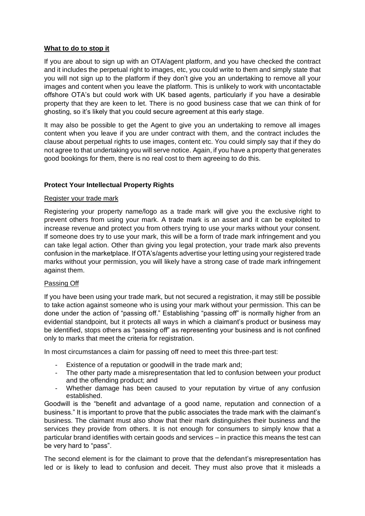### **What to do to stop it**

If you are about to sign up with an OTA/agent platform, and you have checked the contract and it includes the perpetual right to images, etc, you could write to them and simply state that you will not sign up to the platform if they don't give you an undertaking to remove all your images and content when you leave the platform. This is unlikely to work with uncontactable offshore OTA's but could work with UK based agents, particularly if you have a desirable property that they are keen to let. There is no good business case that we can think of for ghosting, so it's likely that you could secure agreement at this early stage.

It may also be possible to get the Agent to give you an undertaking to remove all images content when you leave if you are under contract with them, and the contract includes the clause about perpetual rights to use images, content etc. You could simply say that if they do not agree to that undertaking you will serve notice. Again, if you have a property that generates good bookings for them, there is no real cost to them agreeing to do this.

# **Protect Your Intellectual Property Rights**

### Register your trade mark

Registering your property name/logo as a trade mark will give you the exclusive right to prevent others from using your mark. A trade mark is an asset and it can be exploited to increase revenue and protect you from others trying to use your marks without your consent. If someone does try to use your mark, this will be a form of trade mark infringement and you can take legal action. Other than giving you legal protection, your trade mark also prevents confusion in the marketplace. If OTA's/agents advertise your letting using your registered trade marks without your permission, you will likely have a strong case of trade mark infringement against them.

### Passing Off

If you have been using your trade mark, but not secured a registration, it may still be possible to take action against someone who is using your mark without your permission. This can be done under the action of "passing off." Establishing "passing off" is normally higher from an evidential standpoint, but it protects all ways in which a claimant's product or business may be identified, stops others as "passing off" as representing your business and is not confined only to marks that meet the criteria for registration.

In most circumstances a claim for passing off need to meet this three-part test:

- Existence of a reputation or goodwill in the trade mark and:
- The other party made a misrepresentation that led to confusion between your product and the offending product; and
- Whether damage has been caused to your reputation by virtue of any confusion established.

Goodwill is the "benefit and advantage of a good name, reputation and connection of a business." It is important to prove that the public associates the trade mark with the claimant's business. The claimant must also show that their mark distinguishes their business and the services they provide from others. It is not enough for consumers to simply know that a particular brand identifies with certain goods and services – in practice this means the test can be very hard to "pass".

The second element is for the claimant to prove that the defendant's misrepresentation has led or is likely to lead to confusion and deceit. They must also prove that it misleads a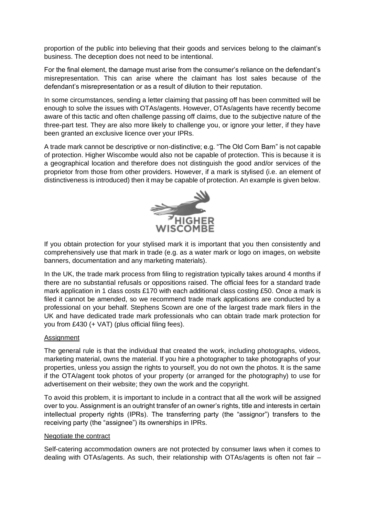proportion of the public into believing that their goods and services belong to the claimant's business. The deception does not need to be intentional.

For the final element, the damage must arise from the consumer's reliance on the defendant's misrepresentation. This can arise where the claimant has lost sales because of the defendant's misrepresentation or as a result of dilution to their reputation.

In some circumstances, sending a letter claiming that passing off has been committed will be enough to solve the issues with OTAs/agents. However, OTAs/agents have recently become aware of this tactic and often challenge passing off claims, due to the subjective nature of the three-part test. They are also more likely to challenge you, or ignore your letter, if they have been granted an exclusive licence over your IPRs.

A trade mark cannot be descriptive or non-distinctive; e.g. "The Old Corn Barn" is not capable of protection. Higher Wiscombe would also not be capable of protection. This is because it is a geographical location and therefore does not distinguish the good and/or services of the proprietor from those from other providers. However, if a mark is stylised (i.e. an element of distinctiveness is introduced) then it may be capable of protection. An example is given below.



If you obtain protection for your stylised mark it is important that you then consistently and comprehensively use that mark in trade (e.g. as a water mark or logo on images, on website banners, documentation and any marketing materials).

In the UK, the trade mark process from filing to registration typically takes around 4 months if there are no substantial refusals or oppositions raised. The official fees for a standard trade mark application in 1 class costs £170 with each additional class costing £50. Once a mark is filed it cannot be amended, so we recommend trade mark applications are conducted by a professional on your behalf. Stephens Scown are one of the largest trade mark filers in the UK and have dedicated trade mark professionals who can obtain trade mark protection for you from £430 (+ VAT) (plus official filing fees).

### **Assignment**

The general rule is that the individual that created the work, including photographs, videos, marketing material, owns the material. If you hire a photographer to take photographs of your properties, unless you assign the rights to yourself, you do not own the photos. It is the same if the OTA/agent took photos of your property (or arranged for the photography) to use for advertisement on their website; they own the work and the copyright.

To avoid this problem, it is important to include in a contract that all the work will be assigned over to you. Assignment is an outright transfer of an owner's rights, title and interests in certain intellectual property rights (IPRs). The transferring party (the "assignor") transfers to the receiving party (the "assignee") its ownerships in IPRs.

#### Negotiate the contract

Self-catering accommodation owners are not protected by consumer laws when it comes to dealing with OTAs/agents. As such, their relationship with OTAs/agents is often not fair –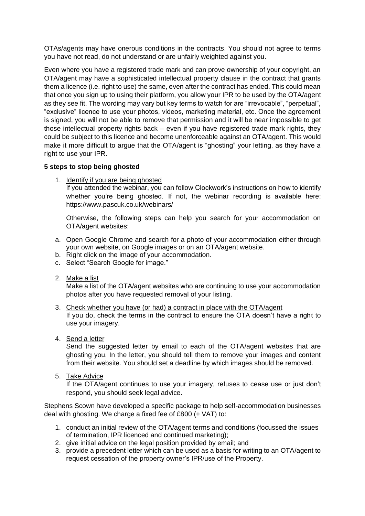OTAs/agents may have onerous conditions in the contracts. You should not agree to terms you have not read, do not understand or are unfairly weighted against you.

Even where you have a registered trade mark and can prove ownership of your copyright, an OTA/agent may have a sophisticated intellectual property clause in the contract that grants them a licence (i.e. right to use) the same, even after the contract has ended. This could mean that once you sign up to using their platform, you allow your IPR to be used by the OTA/agent as they see fit. The wording may vary but key terms to watch for are "irrevocable", "perpetual", "exclusive" licence to use your photos, videos, marketing material, etc. Once the agreement is signed, you will not be able to remove that permission and it will be near impossible to get those intellectual property rights back – even if you have registered trade mark rights, they could be subject to this licence and become unenforceable against an OTA/agent. This would make it more difficult to argue that the OTA/agent is "ghosting" your letting, as they have a right to use your IPR.

## **5 steps to stop being ghosted**

1. Identify if you are being ghosted

If you attended the webinar, you can follow Clockwork's instructions on how to identify whether you're being ghosted. If not, the webinar recording is available here: https://www.pascuk.co.uk/webinars/

Otherwise, the following steps can help you search for your accommodation on OTA/agent websites:

- a. Open Google Chrome and search for a photo of your accommodation either through your own website, on Google images or on an OTA/agent website.
- b. Right click on the image of your accommodation.
- c. Select "Search Google for image."
- 2. Make a list

Make a list of the OTA/agent websites who are continuing to use your accommodation photos after you have requested removal of your listing.

- 3. Check whether you have (or had) a contract in place with the OTA/agent If you do, check the terms in the contract to ensure the OTA doesn't have a right to use your imagery.
- 4. Send a letter

Send the suggested letter by email to each of the OTA/agent websites that are ghosting you. In the letter, you should tell them to remove your images and content from their website. You should set a deadline by which images should be removed.

5. Take Advice

If the OTA/agent continues to use your imagery, refuses to cease use or just don't respond, you should seek legal advice.

Stephens Scown have developed a specific package to help self-accommodation businesses deal with ghosting. We charge a fixed fee of £800 (+ VAT) to:

- 1. conduct an initial review of the OTA/agent terms and conditions (focussed the issues of termination, IPR licenced and continued marketing);
- 2. give initial advice on the legal position provided by email; and
- 3. provide a precedent letter which can be used as a basis for writing to an OTA/agent to request cessation of the property owner's IPR/use of the Property.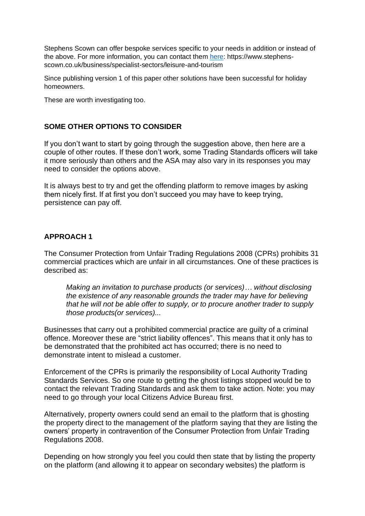Stephens Scown can offer bespoke services specific to your needs in addition or instead of the above. For more information, you can contact them [here:](file:///C:/Users/alistairhandyside/Documents/PASC/here) https://www.stephensscown.co.uk/business/specialist-sectors/leisure-and-tourism

Since publishing version 1 of this paper other solutions have been successful for holiday homeowners.

These are worth investigating too.

# **SOME OTHER OPTIONS TO CONSIDER**

If you don't want to start by going through the suggestion above, then here are a couple of other routes. If these don't work, some Trading Standards officers will take it more seriously than others and the ASA may also vary in its responses you may need to consider the options above.

It is always best to try and get the offending platform to remove images by asking them nicely first. If at first you don't succeed you may have to keep trying, persistence can pay off.

## **APPROACH 1**

The Consumer Protection from Unfair Trading Regulations 2008 (CPRs) prohibits 31 commercial practices which are unfair in all circumstances. One of these practices is described as:

*Making an invitation to purchase products (or services)… without disclosing the existence of any reasonable grounds the trader may have for believing that he will not be able offer to supply, or to procure another trader to supply those products(or services)...* 

Businesses that carry out a prohibited commercial practice are guilty of a criminal offence. Moreover these are "strict liability offences". This means that it only has to be demonstrated that the prohibited act has occurred; there is no need to demonstrate intent to mislead a customer.

Enforcement of the CPRs is primarily the responsibility of Local Authority Trading Standards Services. So one route to getting the ghost listings stopped would be to contact the relevant Trading Standards and ask them to take action. Note: you may need to go through your local Citizens Advice Bureau first.

Alternatively, property owners could send an email to the platform that is ghosting the property direct to the management of the platform saying that they are listing the owners' property in contravention of the Consumer Protection from Unfair Trading Regulations 2008.

Depending on how strongly you feel you could then state that by listing the property on the platform (and allowing it to appear on secondary websites) the platform is